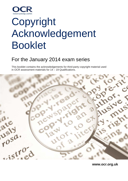

# **Copyright** Acknowledgement Booklet

# For the January 2014 exam series

This booklet contains the acknowledgements for third-party copyright material used in OCR assessment materials for 14 – 19 Qualifications.



**www.ocr.org.uk**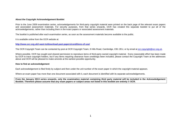#### **About the Copyright Acknowledgement Booklet**

Prior to the June 2009 examination series, acknowledgements for third-party copyright material were printed on the back page of the relevant exam papers and associated assessment materials. For security purposes, from that series onwards, OCR has created this separate booklet to put all of the acknowledgements, rather than including them in the exam papers or associated assessment materials.

The booklet is published after each examination series, as soon as the assessment materials become available to the public.

It is available online from the OCR website at:

#### **<http://www.ocr.org.uk/i-want-to/download-past-papers/conditions-of-use/>**

The OCR Copyright Team can be contacted by post at OCR Copyright Team, 9 Hills Road, Cambridge, CB1 2EU, or by email at [ocr.copyright@ocr.org.uk.](mailto:ocr.copyright@ocr.org.uk)

Where possible, OCR has sought and cleared permission to reproduce items of third-party owned copyright material. Every reasonable effort has been made by OCR to trace copyright holders, but if any items requiring clearance have unwittingly been included, please contact the Copyright Team at the addresses above and OCR will be pleased to make amends at the earliest possible opportunity.

#### **How to find an acknowledgement**

Each acknowledgement is filed firstly by subject and then under the unit number of the exam paper in which the copyright material appears.

Where an exam paper has more than one document associated with it, each document is identified with its separate acknowledgements.

**From the January 2013 series onwards, only the examination material containing third party material will be included in the Acknowledgement Booklet. Therefore please assume that any exam papers or subject areas not listed in this booklet are entirely © OCR.**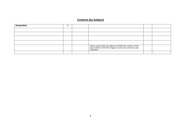### **Contents (by Subject)**

| <b>Humanities</b> |  |                                                                                                                                                      |  |
|-------------------|--|------------------------------------------------------------------------------------------------------------------------------------------------------|--|
|                   |  |                                                                                                                                                      |  |
|                   |  |                                                                                                                                                      |  |
|                   |  |                                                                                                                                                      |  |
|                   |  |                                                                                                                                                      |  |
|                   |  | Please assume that any subjects not listed here contain no third<br>party material. OCR will be happy to correct any omissions upon<br>notification. |  |
|                   |  |                                                                                                                                                      |  |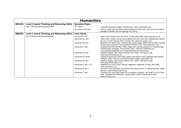| <b>Humanities</b> |                                                    |                        |                                                                                                                                                                                                                         |  |  |  |  |
|-------------------|----------------------------------------------------|------------------------|-------------------------------------------------------------------------------------------------------------------------------------------------------------------------------------------------------------------------|--|--|--|--|
| B901/01           | Level 2 Award Thinking and Reasoning Skills        | <b>Question Paper</b>  |                                                                                                                                                                                                                         |  |  |  |  |
|                   | Unit 1 Thinking and Reasoning Skills               | Q.6, photo             | © Monkey Business Images / Shutterstock, www.shutterstock.com.                                                                                                                                                          |  |  |  |  |
|                   |                                                    | Document A & B, text   | OCR is aware that third party material appeared in this exam but as it has not been<br>possible to identify and acknowledge the source.                                                                                 |  |  |  |  |
| B902/01           | <b>Level 2 Award Thinking and Reasoning Skills</b> | <b>Case Study</b>      |                                                                                                                                                                                                                         |  |  |  |  |
|                   | Unit 2 Thinking and Reasoning Skills               | Document 2, text       | Arran Frood, Ghosts 'all in the mind', 21 May 2003, BBC, www.news.bbc.co.uk.                                                                                                                                            |  |  |  |  |
|                   |                                                    | Document 3a, text      | Taken from YouGov survey Do you believe that you have ever experienced a ghost?,<br>pp 1 & 3, 01-03 February 2011, YouGov Plc, www.cdn.yougov.com                                                                       |  |  |  |  |
|                   |                                                    | Document 3b, text      | Based on The ghost map: Yorkshire tops spook league with a third of adults claiming<br>to have seen a spectre, The Daily Mail, 03 March 2011, www.dailymail.co.uk.                                                      |  |  |  |  |
|                   |                                                    | Document 4, text       | Adapted from Ken McErlain, Police called out to ghostly goings-on in Peterborough,<br>Peterborough Telegraph, 30 December 2011, Johnston Publishing Ltd,<br>www.peterboroughtoday.co.uk. Reproduced by kind permission. |  |  |  |  |
|                   |                                                    | Document 5a, text      | Stephen Wagner, Best Ghost Pictures Ever Taken; The Brown Lady,<br>www.paranormal.about.com.                                                                                                                            |  |  |  |  |
|                   |                                                    | Document 5a, photo     | Captain Provand and Indre Shira, photo of the Brown Lady, Raynham Hall, Norfolk,<br>England, 1936. ©Time & Life Pictures/Getty Images, www.getty.com.                                                                   |  |  |  |  |
|                   |                                                    | Document 5b, text      | Stephen Wagner, Best Ghost Pictures Ever Taken; The Brown Lady,<br>www.paranormal.about.com.                                                                                                                            |  |  |  |  |
|                   |                                                    | Document 6, text 1 & 2 | Adapted from Arran Frood, Ghostly magnetism explained, 21 May 2003, BBC,<br>www.news.bbc.co.uk.                                                                                                                         |  |  |  |  |
|                   |                                                    | Document 6, text 3     | Text from Have Scientists Found Proof that Ghosts Exist?, © Danny Penman, News<br>Monster, www.newsmonster.co.uk.                                                                                                       |  |  |  |  |
|                   |                                                    | Document 7, text       | Postings from chat forum threat Do you believe in ghosts? UK Study: It's All In Your<br>Mind. Adapted from INReview, January 2003, Jelsoft Enterprises Limited,<br>www.inreview.com.                                    |  |  |  |  |